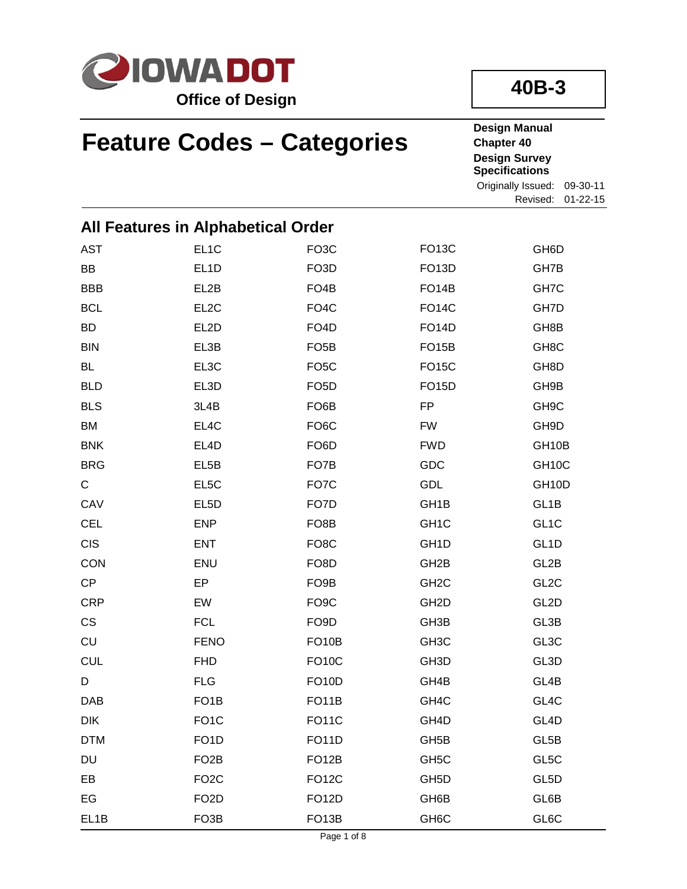

**40B-3**

# **Feature Codes – Categories**

**Design Manual Chapter 40 Design Survey Specifications** Originally Issued: 09-30-11

Revised: 01-22-15

| All Features in Alphabetical Order |                   |                    |                    |                    |
|------------------------------------|-------------------|--------------------|--------------------|--------------------|
| <b>AST</b>                         | EL <sub>1</sub> C | FO <sub>3</sub> C  | <b>FO13C</b>       | GH6D               |
| BB                                 | EL <sub>1</sub> D | FO <sub>3</sub> D  | FO <sub>13</sub> D | GH7B               |
| <b>BBB</b>                         | EL2B              | FO <sub>4</sub> B  | FO <sub>14</sub> B | GH7C               |
| <b>BCL</b>                         | EL <sub>2</sub> C | FO <sub>4</sub> C  | <b>FO14C</b>       | GH7D               |
| <b>BD</b>                          | EL2D              | FO <sub>4</sub> D  | <b>FO14D</b>       | GH8B               |
| <b>BIN</b>                         | EL3B              | FO <sub>5</sub> B  | <b>FO15B</b>       | GH <sub>8</sub> C  |
| <b>BL</b>                          | EL3C              | FO <sub>5</sub> C  | <b>FO15C</b>       | GH8D               |
| <b>BLD</b>                         | EL3D              | FO <sub>5</sub> D  | <b>FO15D</b>       | GH9B               |
| <b>BLS</b>                         | 3L4B              | FO <sub>6</sub> B  | <b>FP</b>          | GH <sub>9</sub> C  |
| BM                                 | EL4C              | FO <sub>6</sub> C  | <b>FW</b>          | GH9D               |
| <b>BNK</b>                         | EL4D              | FO <sub>6</sub> D  | <b>FWD</b>         | GH <sub>10</sub> B |
| <b>BRG</b>                         | EL <sub>5</sub> B | FO7B               | GDC                | GH <sub>10</sub> C |
| С                                  | EL <sub>5</sub> C | FO7C               | GDL                | GH <sub>10</sub> D |
| CAV                                | EL <sub>5</sub> D | FO7D               | GH <sub>1</sub> B  | GL <sub>1</sub> B  |
| <b>CEL</b>                         | <b>ENP</b>        | FO <sub>8</sub> B  | GH <sub>1</sub> C  | GL <sub>1</sub> C  |
| <b>CIS</b>                         | <b>ENT</b>        | FO <sub>8</sub> C  | GH <sub>1</sub> D  | GL <sub>1</sub> D  |
| CON                                | <b>ENU</b>        | FO <sub>8</sub> D  | GH <sub>2</sub> B  | GL2B               |
| CP                                 | EP                | FO <sub>9</sub> B  | GH <sub>2</sub> C  | GL <sub>2</sub> C  |
| <b>CRP</b>                         | EW                | FO <sub>9</sub> C  | GH <sub>2</sub> D  | GL2D               |
| CS                                 | <b>FCL</b>        | FO <sub>9</sub> D  | GH <sub>3</sub> B  | GL3B               |
| CU                                 | <b>FENO</b>       | FO <sub>10</sub> B | GH <sub>3</sub> C  | GL3C               |
| <b>CUL</b>                         | <b>FHD</b>        | <b>FO10C</b>       | GH <sub>3</sub> D  | GL3D               |
| D                                  | <b>FLG</b>        | <b>FO10D</b>       | GH4B               | GL4B               |
| <b>DAB</b>                         | FO <sub>1</sub> B | FO <sub>1</sub> 1B | GH4C               | GL4C               |
| <b>DIK</b>                         | FO <sub>1</sub> C | <b>FO11C</b>       | GH4D               | GL <sub>4</sub> D  |
| <b>DTM</b>                         | FO <sub>1</sub> D | <b>FO11D</b>       | GH <sub>5</sub> B  | GL5B               |
| DU                                 | FO <sub>2</sub> B | FO <sub>12</sub> B | GH <sub>5</sub> C  | GL5C               |
| EB                                 | FO <sub>2</sub> C | <b>FO12C</b>       | GH <sub>5</sub> D  | GL5D               |
| EG                                 | FO <sub>2</sub> D | <b>FO12D</b>       | GH6B               | GL6B               |
| EL1B                               | FO <sub>3</sub> B | FO <sub>13</sub> B | GH <sub>6</sub> C  | GL6C               |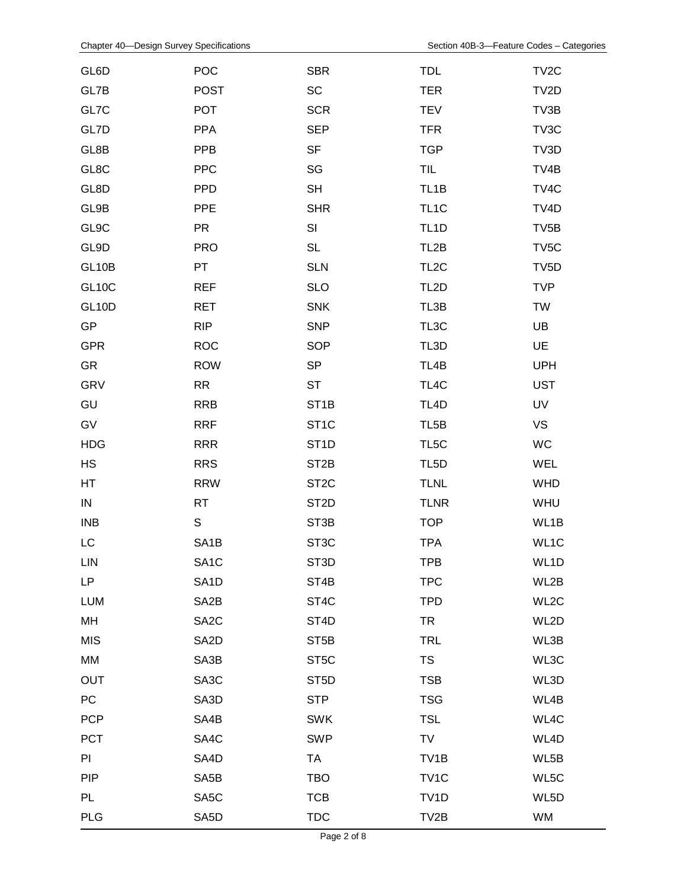| GL6D         | POC               | <b>SBR</b>        | <b>TDL</b>        | TV <sub>2</sub> C |
|--------------|-------------------|-------------------|-------------------|-------------------|
| GL7B         | <b>POST</b>       | <b>SC</b>         | <b>TER</b>        | TV2D              |
| GL7C         | <b>POT</b>        | <b>SCR</b>        | <b>TEV</b>        | TV3B              |
| GL7D         | <b>PPA</b>        | <b>SEP</b>        | <b>TFR</b>        | TV3C              |
| GL8B         | PPB               | <b>SF</b>         | <b>TGP</b>        | TV3D              |
| GL8C         | <b>PPC</b>        | SG                | <b>TIL</b>        | TV4B              |
| GL8D         | <b>PPD</b>        | <b>SH</b>         | TL <sub>1</sub> B | TV4C              |
| GL9B         | <b>PPE</b>        | <b>SHR</b>        | TL <sub>1</sub> C | TV4D              |
| GL9C         | <b>PR</b>         | SI                | TL <sub>1</sub> D | TV <sub>5</sub> B |
| GL9D         | <b>PRO</b>        | <b>SL</b>         | TL <sub>2</sub> B | TV <sub>5</sub> C |
| GL10B        | PT                | <b>SLN</b>        | TL <sub>2</sub> C | TV <sub>5</sub> D |
| <b>GL10C</b> | <b>REF</b>        | <b>SLO</b>        | TL <sub>2</sub> D | <b>TVP</b>        |
| <b>GL10D</b> | <b>RET</b>        | <b>SNK</b>        | TL3B              | <b>TW</b>         |
| GP           | <b>RIP</b>        | <b>SNP</b>        | TL3C              | UB                |
| <b>GPR</b>   | <b>ROC</b>        | <b>SOP</b>        | TL3D              | UE                |
| GR           | <b>ROW</b>        | <b>SP</b>         | TL4B              | <b>UPH</b>        |
| GRV          | RR                | <b>ST</b>         | TL4C              | <b>UST</b>        |
| GU           | <b>RRB</b>        | ST <sub>1</sub> B | TL <sub>4</sub> D | UV                |
| GV           | <b>RRF</b>        | ST <sub>1</sub> C | TL <sub>5</sub> B | <b>VS</b>         |
| <b>HDG</b>   | <b>RRR</b>        | ST <sub>1</sub> D | TL <sub>5</sub> C | WC                |
| HS           | <b>RRS</b>        | ST <sub>2</sub> B | TL <sub>5</sub> D | WEL               |
| HT           | <b>RRW</b>        | ST <sub>2</sub> C | <b>TLNL</b>       | <b>WHD</b>        |
| ${\sf IN}$   | <b>RT</b>         | ST <sub>2</sub> D | <b>TLNR</b>       | WHU               |
| <b>INB</b>   | S                 | ST <sub>3</sub> B | <b>TOP</b>        | WL1B              |
| LC           | SA <sub>1</sub> B | ST <sub>3</sub> C | <b>TPA</b>        | WL1C              |
| <b>LIN</b>   | SA <sub>1</sub> C | ST <sub>3</sub> D | <b>TPB</b>        | WL1D              |
| LP           | SA <sub>1</sub> D | ST <sub>4</sub> B | <b>TPC</b>        | WL2B              |
| <b>LUM</b>   | SA <sub>2</sub> B | ST <sub>4</sub> C | <b>TPD</b>        | WL2C              |
| MH           | SA <sub>2</sub> C | ST <sub>4</sub> D | <b>TR</b>         | WL2D              |
| <b>MIS</b>   | SA <sub>2</sub> D | ST <sub>5</sub> B | <b>TRL</b>        | WL3B              |
| MM           | SA3B              | ST <sub>5</sub> C | <b>TS</b>         | WL3C              |
| <b>OUT</b>   | SA <sub>3</sub> C | ST <sub>5</sub> D | <b>TSB</b>        | WL3D              |
| PC           | SA3D              | <b>STP</b>        | <b>TSG</b>        | WL4B              |
| <b>PCP</b>   | SA4B              | <b>SWK</b>        | <b>TSL</b>        | WL4C              |
| PCT          | SA4C              | <b>SWP</b>        | TV                | WL4D              |
| PI           | SA4D              | <b>TA</b>         | TV <sub>1</sub> B | WL5B              |
| <b>PIP</b>   | SA <sub>5</sub> B | <b>TBO</b>        | TV <sub>1</sub> C | WL5C              |
| <b>PL</b>    | SA <sub>5</sub> C | <b>TCB</b>        | TV <sub>1</sub> D | WL5D              |
| <b>PLG</b>   | SA <sub>5</sub> D | <b>TDC</b>        | TV2B              | WM                |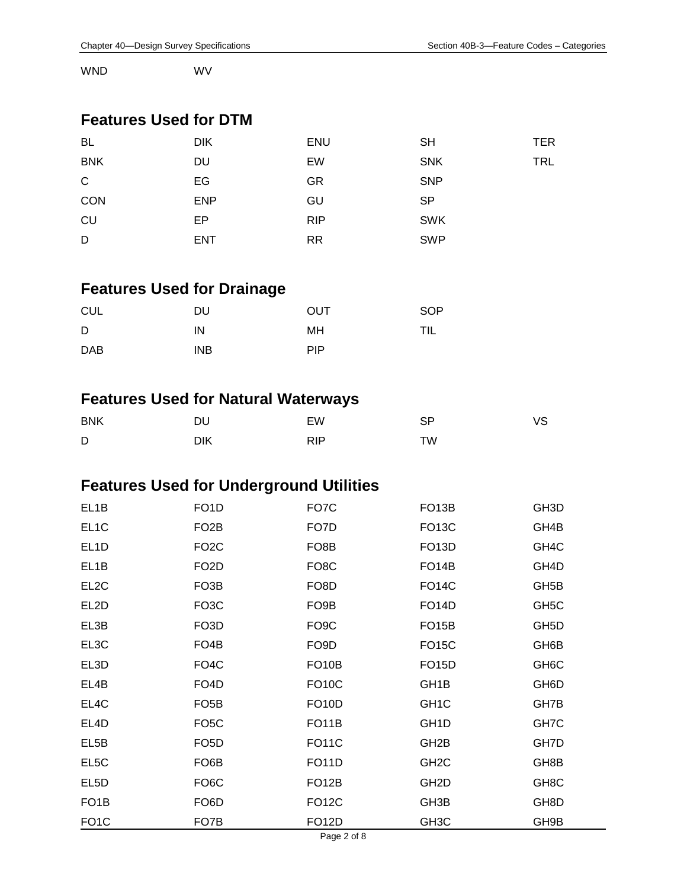WND WV

#### **Features Used for DTM**

| <b>BL</b>    | <b>DIK</b> | <b>ENU</b> | <b>SH</b>  | TER |
|--------------|------------|------------|------------|-----|
| <b>BNK</b>   | DU         | EW         | <b>SNK</b> | TRL |
| $\mathsf{C}$ | EG         | <b>GR</b>  | <b>SNP</b> |     |
| CON          | <b>ENP</b> | GU         | <b>SP</b>  |     |
| CU           | EP         | <b>RIP</b> | <b>SWK</b> |     |
| D            | <b>ENT</b> | <b>RR</b>  | <b>SWP</b> |     |

# **Features Used for Drainage**

| <b>CUL</b> | DU         | OUT        | <b>SOP</b> |
|------------|------------|------------|------------|
| D          | ΙN         | MН         | TIL        |
| <b>DAB</b> | <b>INB</b> | <b>PIP</b> |            |

#### **Features Used for Natural Waterways**

| <b>BNK</b> | ו וח | EW         | SP | ∨S |
|------------|------|------------|----|----|
| D          | DIK  | <b>RIP</b> | TW |    |

#### **Features Used for Underground Utilities**

| EL <sub>1</sub> B | FO <sub>1</sub> D | FO7C               | FO <sub>13</sub> B | GH <sub>3</sub> D |
|-------------------|-------------------|--------------------|--------------------|-------------------|
| EL <sub>1</sub> C | FO <sub>2</sub> B | FO7D               | <b>FO13C</b>       | GH4B              |
| EL <sub>1</sub> D | FO <sub>2</sub> C | FO <sub>8</sub> B  | FO <sub>13</sub> D | GH4C              |
| EL <sub>1</sub> B | FO <sub>2</sub> D | FO <sub>8</sub> C  | FO <sub>14</sub> B | GH4D              |
| EL <sub>2</sub> C | FO <sub>3</sub> B | FO <sub>8</sub> D  | <b>FO14C</b>       | GH <sub>5</sub> B |
| EL <sub>2</sub> D | FO <sub>3</sub> C | FO <sub>9</sub> B  | <b>FO14D</b>       | GH <sub>5</sub> C |
| EL3B              | FO <sub>3</sub> D | FO <sub>9</sub> C  | FO <sub>15</sub> B | GH <sub>5</sub> D |
| EL3C              | FO <sub>4</sub> B | FO <sub>9</sub> D  | <b>FO15C</b>       | GH6B              |
| EL3D              | FO <sub>4</sub> C | FO <sub>10</sub> B | <b>FO15D</b>       | GH <sub>6</sub> C |
| EL4B              | FO <sub>4</sub> D | FO <sub>10</sub> C | GH <sub>1</sub> B  | GH <sub>6</sub> D |
| EL4C              | FO <sub>5</sub> B | FO <sub>10</sub> D | GH <sub>1</sub> C  | GH7B              |
| EL4D              | FO <sub>5</sub> C | FO <sub>1</sub> 1B | GH <sub>1</sub> D  | GH7C              |
| EL5B              | FO <sub>5</sub> D | <b>FO11C</b>       | GH <sub>2</sub> B  | GH7D              |
| EL5C              | FO <sub>6</sub> B | <b>FO11D</b>       | GH <sub>2</sub> C  | GH8B              |
| EL5D              | FO <sub>6</sub> C | FO <sub>12</sub> B | GH <sub>2</sub> D  | GH <sub>8</sub> C |
| FO <sub>1</sub> B | FO <sub>6</sub> D | <b>FO12C</b>       | GH3B               | GH8D              |
| FO <sub>1</sub> C | FO7B              | FO <sub>12</sub> D | GH <sub>3</sub> C  | GH9B              |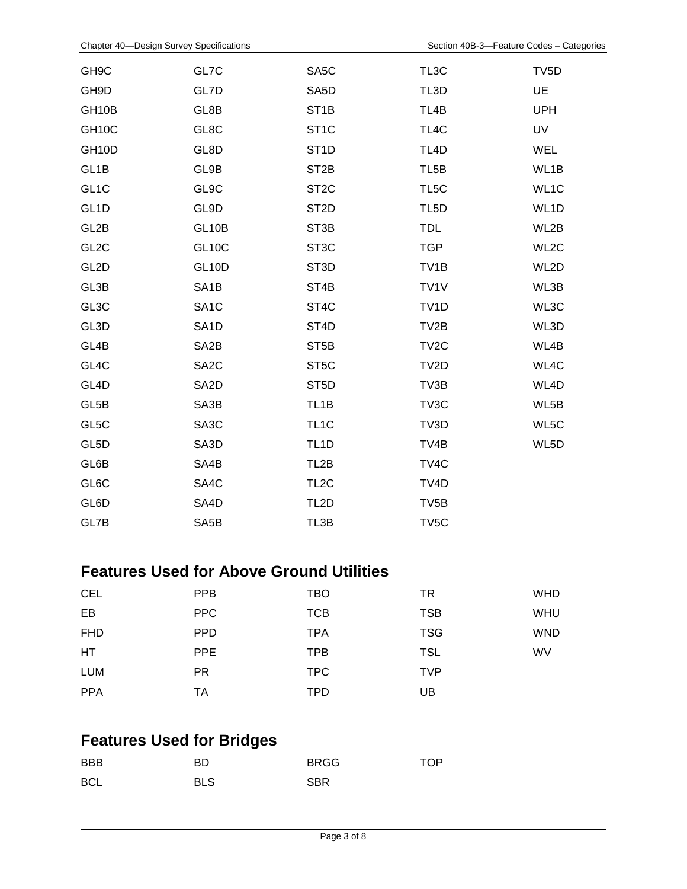| GH <sub>9</sub> C  | GL7C               | SA <sub>5</sub> C | TL3C              | TV <sub>5</sub> D |
|--------------------|--------------------|-------------------|-------------------|-------------------|
| GH9D               | GL7D               | SA <sub>5</sub> D | TL3D              | <b>UE</b>         |
| GH <sub>10</sub> B | GL8B               | ST <sub>1</sub> B | TL4B              | <b>UPH</b>        |
| GH10C              | GL8C               | ST <sub>1</sub> C | TL4C              | UV                |
| GH10D              | GL8D               | ST <sub>1</sub> D | TL <sub>4</sub> D | <b>WEL</b>        |
| GL <sub>1</sub> B  | GL9B               | ST <sub>2</sub> B | TL <sub>5</sub> B | WL1B              |
| GL <sub>1</sub> C  | GL9C               | ST <sub>2</sub> C | TL5C              | WL1C              |
| GL <sub>1</sub> D  | GL9D               | ST <sub>2</sub> D | TL <sub>5</sub> D | WL1D              |
| GL2B               | GL10B              | ST <sub>3</sub> B | <b>TDL</b>        | WL2B              |
| GL <sub>2</sub> C  | <b>GL10C</b>       | ST <sub>3</sub> C | <b>TGP</b>        | WL2C              |
| GL <sub>2</sub> D  | GL <sub>10</sub> D | ST <sub>3</sub> D | TV <sub>1</sub> B | WL2D              |
| GL3B               | SA <sub>1</sub> B  | ST <sub>4</sub> B | TV <sub>1</sub> V | WL3B              |
| GL3C               | SA <sub>1</sub> C  | ST4C              | TV <sub>1</sub> D | WL3C              |
| GL3D               | SA <sub>1</sub> D  | ST <sub>4</sub> D | TV2B              | WL3D              |
| GL4B               | SA <sub>2</sub> B  | ST <sub>5</sub> B | TV <sub>2</sub> C | WL4B              |
| GL4C               | SA <sub>2</sub> C  | ST <sub>5</sub> C | TV2D              | WL4C              |
| GL <sub>4</sub> D  | SA <sub>2</sub> D  | ST <sub>5</sub> D | TV3B              | WL4D              |
| GL5B               | SA3B               | TL <sub>1</sub> B | TV3C              | WL5B              |
| GL5C               | SA3C               | TL <sub>1</sub> C | TV3D              | WL5C              |
| GL5D               | SA3D               | TL <sub>1</sub> D | TV4B              | WL5D              |
| GL6B               | SA4B               | TL <sub>2</sub> B | TV4C              |                   |
| GL6C               | SA4C               | TL <sub>2</sub> C | TV <sub>4</sub> D |                   |
| GL6D               | SA4D               | TL <sub>2</sub> D | TV <sub>5</sub> B |                   |
| GL7B               | SA <sub>5</sub> B  | TL3B              | TV <sub>5</sub> C |                   |

#### **Features Used for Above Ground Utilities**

| <b>CEL</b> | <b>PPB</b> | <b>TBO</b> | TR         | <b>WHD</b> |
|------------|------------|------------|------------|------------|
| EB         | <b>PPC</b> | <b>TCB</b> | <b>TSB</b> | <b>WHU</b> |
| <b>FHD</b> | <b>PPD</b> | <b>TPA</b> | <b>TSG</b> | <b>WND</b> |
| <b>HT</b>  | <b>PPE</b> | <b>TPB</b> | <b>TSL</b> | <b>WV</b>  |
| <b>LUM</b> | <b>PR</b>  | TPC.       | <b>TVP</b> |            |
| <b>PPA</b> | ТA         | <b>TPD</b> | UB         |            |

## **Features Used for Bridges**

| <b>BBB</b> | BD         | <b>BRGG</b> | <b>TOP</b> |
|------------|------------|-------------|------------|
| <b>BCL</b> | <b>BLS</b> | <b>SBR</b>  |            |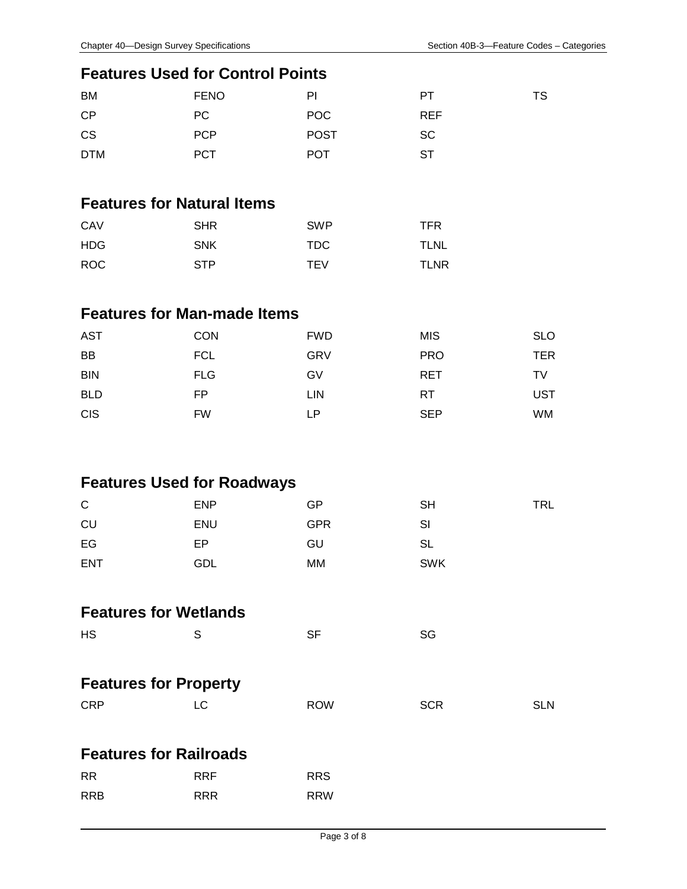TS

#### **Features Used for Control Points**

| <b>BM</b>  | <b>FENO</b> | PI          | PT.        |
|------------|-------------|-------------|------------|
| <b>CP</b>  | PC.         | POC         | <b>REF</b> |
| <b>CS</b>  | <b>PCP</b>  | <b>POST</b> | <b>SC</b>  |
| <b>DTM</b> | <b>PCT</b>  | <b>POT</b>  | ST         |

#### **Features for Natural Items**

| CAV | <b>SHR</b> | <b>SWP</b> | TFR         |
|-----|------------|------------|-------------|
| HDG | <b>SNK</b> | TDC.       | <b>TLNL</b> |
| ROC | <b>STP</b> | <b>TEV</b> | <b>TLNR</b> |

### **Features for Man-made Items**

| <b>AST</b> | <b>CON</b> | <b>FWD</b> | <b>MIS</b> | <b>SLO</b> |
|------------|------------|------------|------------|------------|
| BB         | <b>FCL</b> | <b>GRV</b> | <b>PRO</b> | TER        |
| <b>BIN</b> | <b>FLG</b> | GV         | <b>RET</b> | TV         |
| <b>BLD</b> | FP         | LIN        | RT         | UST        |
| <b>CIS</b> | <b>FW</b>  | LР         | <b>SEP</b> | WM         |

#### **Features Used for Roadways**

| $\mathsf{C}$ | <b>ENP</b> | GP         | SН         | <b>TRL</b> |
|--------------|------------|------------|------------|------------|
| CU           | <b>ENU</b> | <b>GPR</b> | SI         |            |
| EG           | EP         | GU         | SL         |            |
| <b>ENT</b>   | GDL        | МM         | <b>SWK</b> |            |

#### **Features for Wetlands**

| НS<br>$\mathbf S$ | <b>SF</b> | <b>SG</b> |
|-------------------|-----------|-----------|
|                   |           |           |

## **Features for Property**

| CRP | <b>ROW</b> | <b>SCR</b> | <b>SLN</b> |
|-----|------------|------------|------------|
|     |            |            |            |

#### **Features for Railroads**

| RR   | <b>RRF</b> | <b>RRS</b> |
|------|------------|------------|
| RRB. | <b>RRR</b> | <b>RRW</b> |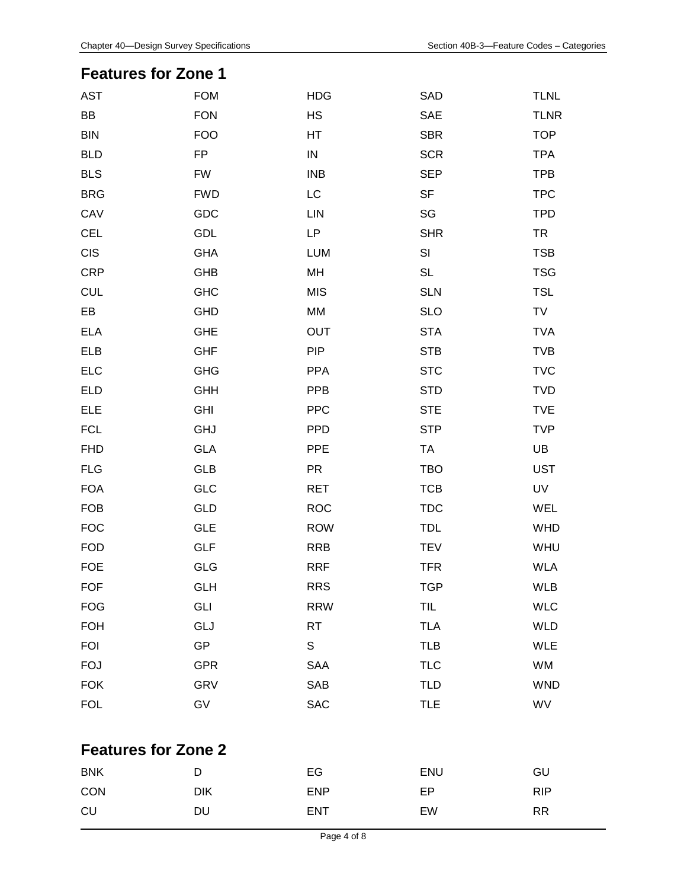#### **Features for Zone 1**

| <b>AST</b>                 | <b>FOM</b> | <b>HDG</b> | SAD        | <b>TLNL</b> |
|----------------------------|------------|------------|------------|-------------|
| BB                         | <b>FON</b> | <b>HS</b>  | SAE        | <b>TLNR</b> |
| <b>BIN</b>                 | <b>FOO</b> | HT         | <b>SBR</b> | <b>TOP</b>  |
| <b>BLD</b>                 | <b>FP</b>  | ${\sf IN}$ | <b>SCR</b> | <b>TPA</b>  |
| <b>BLS</b>                 | <b>FW</b>  | <b>INB</b> | <b>SEP</b> | <b>TPB</b>  |
| <b>BRG</b>                 | <b>FWD</b> | LC         | <b>SF</b>  | <b>TPC</b>  |
| CAV                        | GDC        | <b>LIN</b> | SG         | <b>TPD</b>  |
| <b>CEL</b>                 | GDL        | <b>LP</b>  | <b>SHR</b> | <b>TR</b>   |
| <b>CIS</b>                 | <b>GHA</b> | <b>LUM</b> | SI         | <b>TSB</b>  |
| <b>CRP</b>                 | GHB        | MH         | <b>SL</b>  | <b>TSG</b>  |
| <b>CUL</b>                 | <b>GHC</b> | <b>MIS</b> | <b>SLN</b> | <b>TSL</b>  |
| EB                         | GHD        | MM         | <b>SLO</b> | TV          |
| <b>ELA</b>                 | <b>GHE</b> | OUT        | <b>STA</b> | <b>TVA</b>  |
| ELB                        | <b>GHF</b> | <b>PIP</b> | <b>STB</b> | <b>TVB</b>  |
| <b>ELC</b>                 | <b>GHG</b> | <b>PPA</b> | <b>STC</b> | <b>TVC</b>  |
| <b>ELD</b>                 | <b>GHH</b> | <b>PPB</b> | <b>STD</b> | <b>TVD</b>  |
| ELE                        | <b>GHI</b> | <b>PPC</b> | <b>STE</b> | <b>TVE</b>  |
| <b>FCL</b>                 | GHJ        | <b>PPD</b> | <b>STP</b> | <b>TVP</b>  |
| <b>FHD</b>                 | GLA        | <b>PPE</b> | <b>TA</b>  | UB          |
| <b>FLG</b>                 | GLB        | PR         | <b>TBO</b> | <b>UST</b>  |
| <b>FOA</b>                 | GLC        | <b>RET</b> | <b>TCB</b> | UV          |
| <b>FOB</b>                 | GLD        | <b>ROC</b> | <b>TDC</b> | WEL         |
| <b>FOC</b>                 | <b>GLE</b> | <b>ROW</b> | <b>TDL</b> | <b>WHD</b>  |
| <b>FOD</b>                 | <b>GLF</b> | <b>RRB</b> | <b>TEV</b> | WHU         |
| <b>FOE</b>                 | GLG        | <b>RRF</b> | <b>TFR</b> | <b>WLA</b>  |
| <b>FOF</b>                 | <b>GLH</b> | <b>RRS</b> | <b>TGP</b> | <b>WLB</b>  |
| <b>FOG</b>                 | <b>GLI</b> | <b>RRW</b> | TIL        | <b>WLC</b>  |
| <b>FOH</b>                 | GLJ        | <b>RT</b>  | <b>TLA</b> | <b>WLD</b>  |
| <b>FOI</b>                 | <b>GP</b>  | S          | <b>TLB</b> | <b>WLE</b>  |
| <b>FOJ</b>                 | <b>GPR</b> | SAA        | <b>TLC</b> | WM          |
| <b>FOK</b>                 | <b>GRV</b> | SAB        | <b>TLD</b> | <b>WND</b>  |
| <b>FOL</b>                 | GV         | <b>SAC</b> | <b>TLE</b> | WV          |
|                            |            |            |            |             |
| <b>Features for Zone 2</b> |            |            |            |             |
| <b>BNK</b>                 | D          | EG         | ENU        | GU          |
| CON                        | <b>DIK</b> | <b>ENP</b> | EP         | <b>RIP</b>  |
| CU                         | DU         | <b>ENT</b> | EW         | <b>RR</b>   |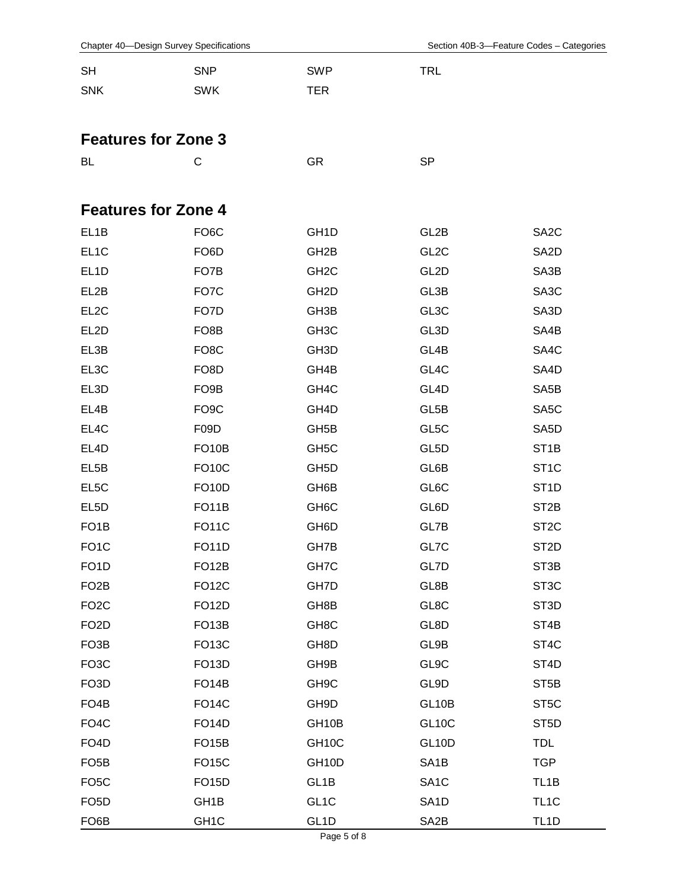|  |  | Chapter 40—Design Survey Specifications |
|--|--|-----------------------------------------|
|--|--|-----------------------------------------|

| <b>SH</b>                  | <b>SNP</b>         | <b>SWP</b>        | <b>TRL</b>         |                   |
|----------------------------|--------------------|-------------------|--------------------|-------------------|
| <b>SNK</b>                 | <b>SWK</b>         | TER               |                    |                   |
|                            |                    |                   |                    |                   |
| <b>Features for Zone 3</b> |                    |                   |                    |                   |
| BL                         | С                  | GR                | <b>SP</b>          |                   |
|                            |                    |                   |                    |                   |
|                            |                    |                   |                    |                   |
| <b>Features for Zone 4</b> |                    |                   |                    |                   |
| EL1B                       | FO <sub>6</sub> C  | GH <sub>1</sub> D | GL2B               | SA <sub>2</sub> C |
| EL <sub>1</sub> C          | FO <sub>6</sub> D  | GH <sub>2</sub> B | GL <sub>2</sub> C  | SA <sub>2</sub> D |
| EL <sub>1</sub> D          | FO7B               | GH <sub>2</sub> C | GL <sub>2</sub> D  | SA3B              |
| EL2B                       | FO7C               | GH <sub>2</sub> D | GL3B               | SA <sub>3</sub> C |
| EL <sub>2</sub> C          | FO7D               | GH <sub>3</sub> B | GL3C               | SA3D              |
| EL <sub>2</sub> D          | FO <sub>8</sub> B  | GH <sub>3</sub> C | GL3D               | SA4B              |
| EL3B                       | FO <sub>8</sub> C  | GH <sub>3</sub> D | GL4B               | SA4C              |
| EL3C                       | FO <sub>8</sub> D  | GH4B              | GL4C               | SA4D              |
| EL3D                       | FO <sub>9</sub> B  | GH <sub>4</sub> C | GL4D               | SA <sub>5</sub> B |
| EL4B                       | FO <sub>9</sub> C  | GH4D              | GL5B               | SA <sub>5</sub> C |
| EL4C                       | F09D               | GH <sub>5</sub> B | GL5C               | SA <sub>5</sub> D |
| EL4D                       | <b>FO10B</b>       | GH <sub>5</sub> C | GL5D               | ST <sub>1</sub> B |
| EL <sub>5</sub> B          | FO <sub>10</sub> C | GH <sub>5</sub> D | GL6B               | ST <sub>1</sub> C |
| EL5C                       | <b>FO10D</b>       | GH6B              | GL6C               | ST <sub>1</sub> D |
| EL <sub>5</sub> D          | FO <sub>1</sub> 1B | GH <sub>6</sub> C | GL6D               | ST <sub>2</sub> B |
| FO <sub>1</sub> B          | <b>FO11C</b>       | GH <sub>6</sub> D | GL7B               | ST <sub>2</sub> C |
| FO <sub>1</sub> C          | <b>FO11D</b>       | GH7B              | GL7C               | ST <sub>2</sub> D |
| FO <sub>1</sub> D          | FO <sub>12</sub> B | GH7C              | GL7D               | ST <sub>3</sub> B |
| FO <sub>2</sub> B          | <b>FO12C</b>       | GH7D              | GL8B               | ST <sub>3</sub> C |
| FO <sub>2</sub> C          | <b>FO12D</b>       | GH8B              | GL8C               | ST <sub>3</sub> D |
| FO <sub>2</sub> D          | FO <sub>13</sub> B | GH <sub>8</sub> C | GL8D               | ST4B              |
| FO <sub>3</sub> B          | <b>FO13C</b>       | GH8D              | GL9B               | ST <sub>4</sub> C |
| FO <sub>3</sub> C          | FO <sub>13</sub> D | GH9B              | GL9C               | ST <sub>4</sub> D |
| FO <sub>3</sub> D          | FO <sub>14</sub> B | GH <sub>9</sub> C | GL9D               | ST <sub>5</sub> B |
| FO <sub>4</sub> B          | FO <sub>14</sub> C | GH9D              | GL10B              | ST <sub>5</sub> C |
| FO <sub>4</sub> C          | <b>FO14D</b>       | GH10B             | GL <sub>10</sub> C | ST <sub>5</sub> D |
| FO <sub>4</sub> D          | FO <sub>15</sub> B | GH10C             | GL <sub>10</sub> D | <b>TDL</b>        |
| FO <sub>5</sub> B          | <b>FO15C</b>       | GH10D             | SA <sub>1</sub> B  | <b>TGP</b>        |
| FO <sub>5</sub> C          | <b>FO15D</b>       | GL <sub>1</sub> B | SA <sub>1</sub> C  | TL <sub>1</sub> B |
| FO <sub>5</sub> D          | GH <sub>1</sub> B  | GL <sub>1</sub> C | SA <sub>1</sub> D  | TL <sub>1</sub> C |
| FO <sub>6</sub> B          | GH <sub>1</sub> C  | GL <sub>1D</sub>  | SA <sub>2</sub> B  | TL <sub>1</sub> D |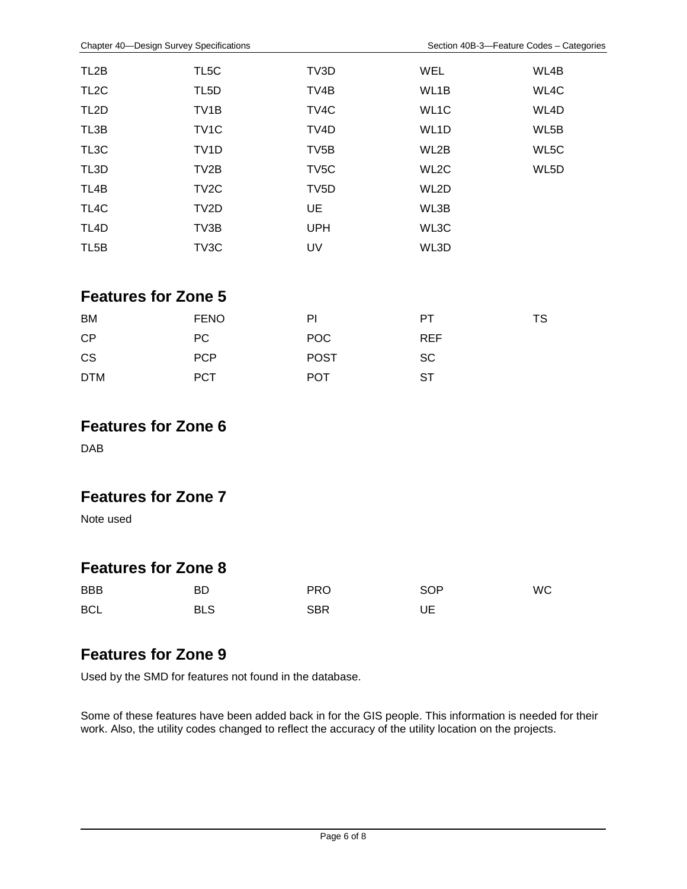| TL <sub>2</sub> B          | TL5C              | TV3D              | <b>WEL</b>        | WL4B |
|----------------------------|-------------------|-------------------|-------------------|------|
| TL <sub>2</sub> C          | TL <sub>5</sub> D | TV4B              | WL1B              | WL4C |
| TL <sub>2</sub> D          | TV <sub>1</sub> B | TV4C              | WL <sub>1</sub> C | WL4D |
| TL3B                       | TV <sub>1</sub> C | TV4D              | WL1D              | WL5B |
| TL3C                       | TV <sub>1</sub> D | TV <sub>5</sub> B | WL2B              | WL5C |
| TL3D                       | TV <sub>2</sub> B | TV <sub>5</sub> C | WL2C              | WL5D |
| TL4B                       | TV <sub>2</sub> C | TV <sub>5</sub> D | WL2D              |      |
| TL4C                       | TV <sub>2</sub> D | UE                | WL3B              |      |
| TL <sub>4</sub> D          | TV3B              | <b>UPH</b>        | WL3C              |      |
| TL <sub>5</sub> B          | TV3C              | <b>UV</b>         | WL3D              |      |
|                            |                   |                   |                   |      |
| <b>Features for Zone 5</b> |                   |                   |                   |      |
| BM                         | <b>FENO</b>       | PI                | PT                | TS   |
| CP                         | PC                | POC               | <b>REF</b>        |      |
| <b>CS</b>                  | <b>PCP</b>        | <b>POST</b>       | <b>SC</b>         |      |
| <b>DTM</b>                 | <b>PCT</b>        | <b>POT</b>        | <b>ST</b>         |      |

#### **Features for Zone 6**

DAB

#### **Features for Zone 7**

Note used

#### **Features for Zone 8**

| <b>BBB</b> | BD         | <b>PRO</b> | SOP | <b>WC</b> |
|------------|------------|------------|-----|-----------|
| <b>BCL</b> | <b>BLS</b> | <b>SBR</b> | UE  |           |

#### **Features for Zone 9**

Used by the SMD for features not found in the database.

Some of these features have been added back in for the GIS people. This information is needed for their work. Also, the utility codes changed to reflect the accuracy of the utility location on the projects.